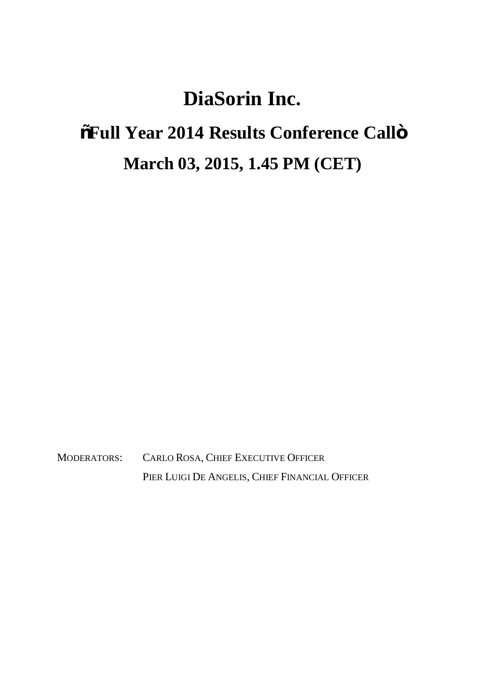## **DiaSorin Inc.**

## **"Full Year 2014 Results Conference Call" March 03, 2015, 1.45 PM (CET)**

MODERATORS: CARLO ROSA, CHIEF EXECUTIVE OFFICER PIER LUIGI DE ANGELIS, CHIEF FINANCIAL OFFICER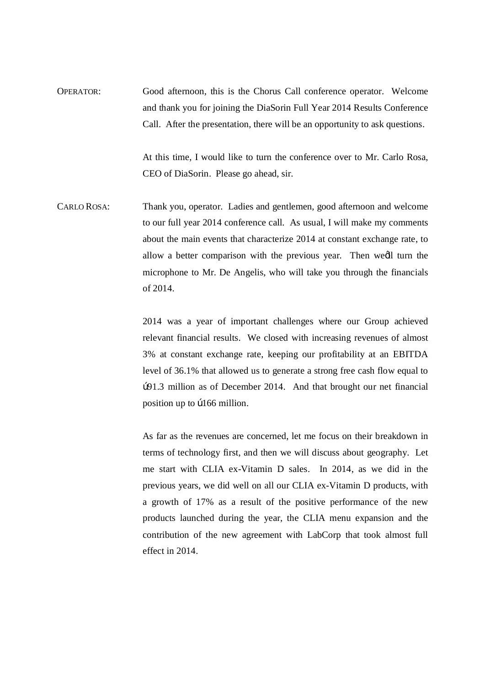OPERATOR: Good afternoon, this is the Chorus Call conference operator. Welcome and thank you for joining the DiaSorin Full Year 2014 Results Conference Call. After the presentation, there will be an opportunity to ask questions.

> At this time, I would like to turn the conference over to Mr. Carlo Rosa, CEO of DiaSorin. Please go ahead, sir.

CARLO ROSA: Thank you, operator. Ladies and gentlemen, good afternoon and welcome to our full year 2014 conference call. As usual, I will make my comments about the main events that characterize 2014 at constant exchange rate, to allow a better comparison with the previous year. Then we'll turn the microphone to Mr. De Angelis, who will take you through the financials of 2014.

> 2014 was a year of important challenges where our Group achieved relevant financial results. We closed with increasing revenues of almost 3% at constant exchange rate, keeping our profitability at an EBITDA level of 36.1% that allowed us to generate a strong free cash flow equal to €91.3 million as of December 2014. And that brought our net financial position up to  $p166$  million.

> As far as the revenues are concerned, let me focus on their breakdown in terms of technology first, and then we will discuss about geography. Let me start with CLIA ex-Vitamin D sales. In 2014, as we did in the previous years, we did well on all our CLIA ex-Vitamin D products, with a growth of 17% as a result of the positive performance of the new products launched during the year, the CLIA menu expansion and the contribution of the new agreement with LabCorp that took almost full effect in 2014.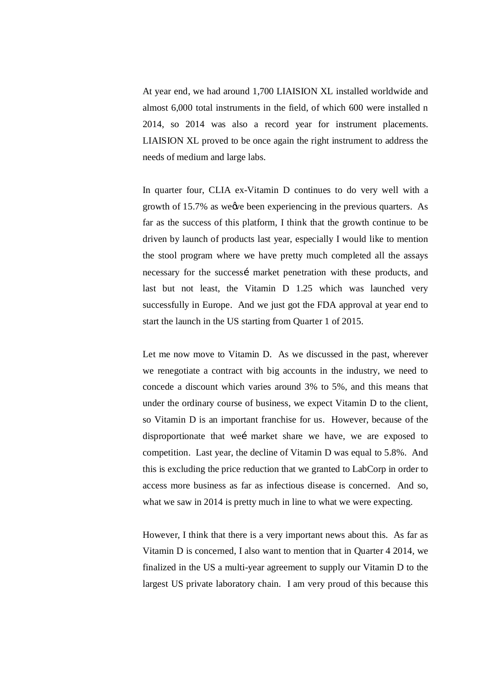At year end, we had around 1,700 LIAISION XL installed worldwide and almost 6,000 total instruments in the field, of which 600 were installed n 2014, so 2014 was also a record year for instrument placements. LIAISION XL proved to be once again the right instrument to address the needs of medium and large labs.

In quarter four, CLIA ex-Vitamin D continues to do very well with a growth of 15.7% as we we been experiencing in the previous quarters. As far as the success of this platform, I think that the growth continue to be driven by launch of products last year, especially I would like to mention the stool program where we have pretty much completed all the assays necessary for the successi market penetration with these products, and last but not least, the Vitamin D 1.25 which was launched very successfully in Europe. And we just got the FDA approval at year end to start the launch in the US starting from Quarter 1 of 2015.

Let me now move to Vitamin D. As we discussed in the past, wherever we renegotiate a contract with big accounts in the industry, we need to concede a discount which varies around 3% to 5%, and this means that under the ordinary course of business, we expect Vitamin D to the client, so Vitamin D is an important franchise for us. However, because of the disproportionate that wei market share we have, we are exposed to competition. Last year, the decline of Vitamin D was equal to 5.8%. And this is excluding the price reduction that we granted to LabCorp in order to access more business as far as infectious disease is concerned. And so, what we saw in 2014 is pretty much in line to what we were expecting.

However, I think that there is a very important news about this. As far as Vitamin D is concerned, I also want to mention that in Quarter 4 2014, we finalized in the US a multi-year agreement to supply our Vitamin D to the largest US private laboratory chain. I am very proud of this because this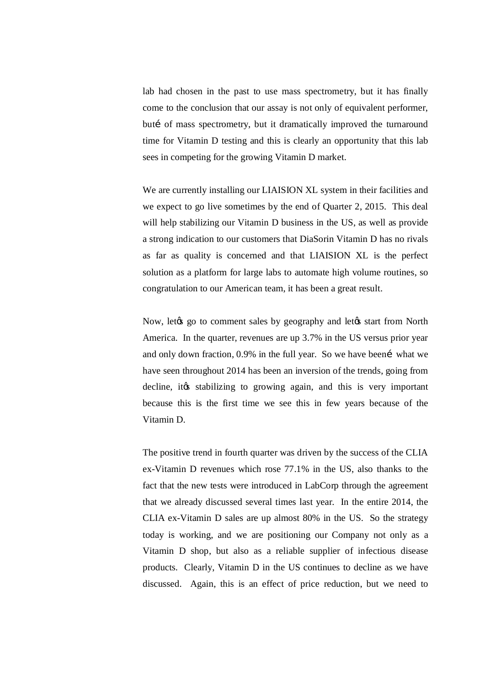lab had chosen in the past to use mass spectrometry, but it has finally come to the conclusion that our assay is not only of equivalent performer, butí of mass spectrometry, but it dramatically improved the turnaround time for Vitamin D testing and this is clearly an opportunity that this lab sees in competing for the growing Vitamin D market.

We are currently installing our LIAISION XL system in their facilities and we expect to go live sometimes by the end of Quarter 2, 2015. This deal will help stabilizing our Vitamin D business in the US, as well as provide a strong indication to our customers that DiaSorin Vitamin D has no rivals as far as quality is concerned and that LIAISION XL is the perfect solution as a platform for large labs to automate high volume routines, so congratulation to our American team, it has been a great result.

Now, letgs go to comment sales by geography and letgs start from North America. In the quarter, revenues are up 3.7% in the US versus prior year and only down fraction,  $0.9\%$  in the full year. So we have been  $\acute{ }$  what we have seen throughout 2014 has been an inversion of the trends, going from decline, it ts stabilizing to growing again, and this is very important because this is the first time we see this in few years because of the Vitamin D.

The positive trend in fourth quarter was driven by the success of the CLIA ex-Vitamin D revenues which rose 77.1% in the US, also thanks to the fact that the new tests were introduced in LabCorp through the agreement that we already discussed several times last year. In the entire 2014, the CLIA ex-Vitamin D sales are up almost 80% in the US. So the strategy today is working, and we are positioning our Company not only as a Vitamin D shop, but also as a reliable supplier of infectious disease products. Clearly, Vitamin D in the US continues to decline as we have discussed. Again, this is an effect of price reduction, but we need to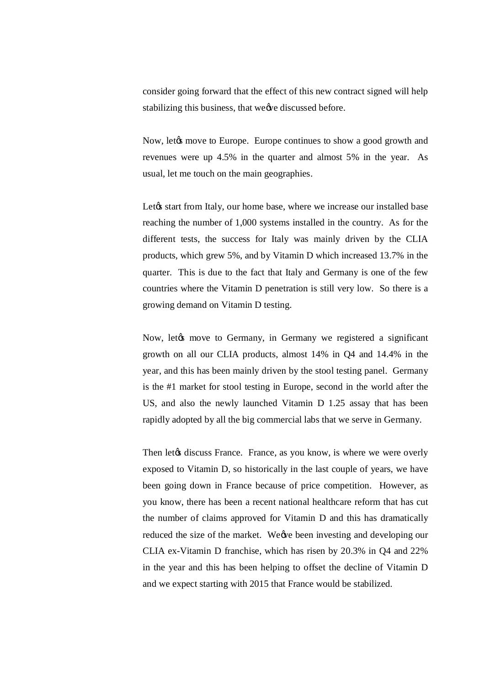consider going forward that the effect of this new contract signed will help stabilizing this business, that we we discussed before.

Now, let the move to Europe. Europe continues to show a good growth and revenues were up 4.5% in the quarter and almost 5% in the year. As usual, let me touch on the main geographies.

Let $\alpha$  start from Italy, our home base, where we increase our installed base reaching the number of 1,000 systems installed in the country. As for the different tests, the success for Italy was mainly driven by the CLIA products, which grew 5%, and by Vitamin D which increased 13.7% in the quarter. This is due to the fact that Italy and Germany is one of the few countries where the Vitamin D penetration is still very low. So there is a growing demand on Vitamin D testing.

Now, let to move to Germany, in Germany we registered a significant growth on all our CLIA products, almost 14% in Q4 and 14.4% in the year, and this has been mainly driven by the stool testing panel. Germany is the #1 market for stool testing in Europe, second in the world after the US, and also the newly launched Vitamin D 1.25 assay that has been rapidly adopted by all the big commercial labs that we serve in Germany.

Then let ts discuss France. France, as you know, is where we were overly exposed to Vitamin D, so historically in the last couple of years, we have been going down in France because of price competition. However, as you know, there has been a recent national healthcare reform that has cut the number of claims approved for Vitamin D and this has dramatically reduced the size of the market. We we been investing and developing our CLIA ex-Vitamin D franchise, which has risen by 20.3% in Q4 and 22% in the year and this has been helping to offset the decline of Vitamin D and we expect starting with 2015 that France would be stabilized.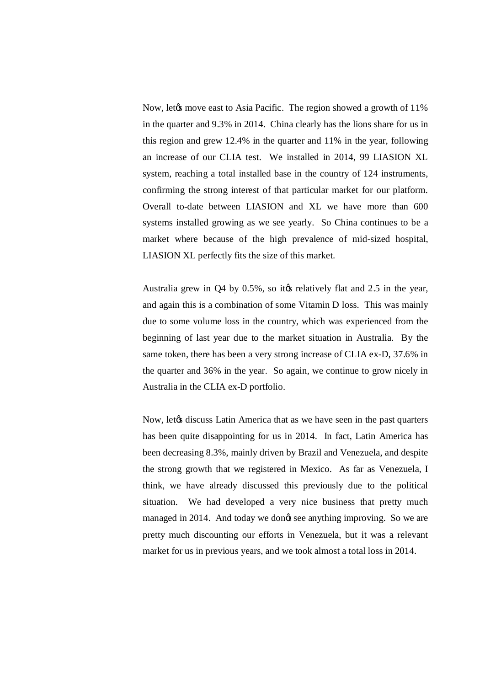Now, let the move east to Asia Pacific. The region showed a growth of 11% in the quarter and 9.3% in 2014. China clearly has the lions share for us in this region and grew 12.4% in the quarter and 11% in the year, following an increase of our CLIA test. We installed in 2014, 99 LIASION XL system, reaching a total installed base in the country of 124 instruments, confirming the strong interest of that particular market for our platform. Overall to-date between LIASION and XL we have more than 600 systems installed growing as we see yearly. So China continues to be a market where because of the high prevalence of mid-sized hospital, LIASION XL perfectly fits the size of this market.

Australia grew in  $Q4$  by  $0.5\%$ , so it ts relatively flat and  $2.5$  in the year, and again this is a combination of some Vitamin D loss. This was mainly due to some volume loss in the country, which was experienced from the beginning of last year due to the market situation in Australia. By the same token, there has been a very strong increase of CLIA ex-D, 37.6% in the quarter and 36% in the year. So again, we continue to grow nicely in Australia in the CLIA ex-D portfolio.

Now, let<sub>/8</sub> discuss Latin America that as we have seen in the past quarters has been quite disappointing for us in 2014. In fact, Latin America has been decreasing 8.3%, mainly driven by Brazil and Venezuela, and despite the strong growth that we registered in Mexico. As far as Venezuela, I think, we have already discussed this previously due to the political situation. We had developed a very nice business that pretty much managed in 2014. And today we dongt see anything improving. So we are pretty much discounting our efforts in Venezuela, but it was a relevant market for us in previous years, and we took almost a total loss in 2014.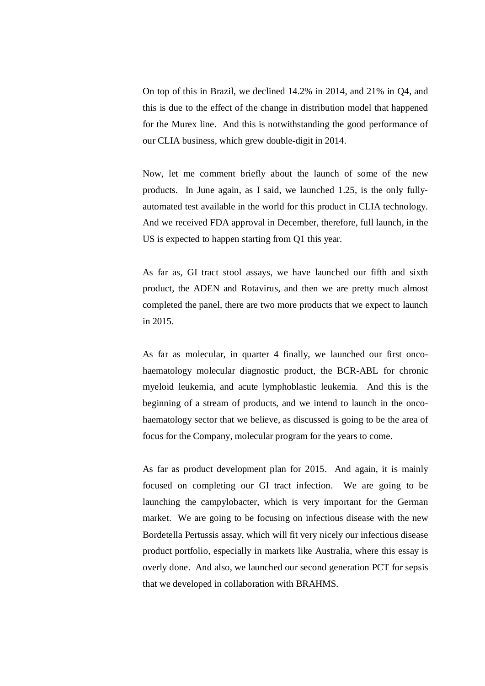On top of this in Brazil, we declined 14.2% in 2014, and 21% in Q4, and this is due to the effect of the change in distribution model that happened for the Murex line. And this is notwithstanding the good performance of our CLIA business, which grew double-digit in 2014.

Now, let me comment briefly about the launch of some of the new products. In June again, as I said, we launched 1.25, is the only fullyautomated test available in the world for this product in CLIA technology. And we received FDA approval in December, therefore, full launch, in the US is expected to happen starting from Q1 this year.

As far as, GI tract stool assays, we have launched our fifth and sixth product, the ADEN and Rotavirus, and then we are pretty much almost completed the panel, there are two more products that we expect to launch in 2015.

As far as molecular, in quarter 4 finally, we launched our first oncohaematology molecular diagnostic product, the BCR-ABL for chronic myeloid leukemia, and acute lymphoblastic leukemia. And this is the beginning of a stream of products, and we intend to launch in the oncohaematology sector that we believe, as discussed is going to be the area of focus for the Company, molecular program for the years to come.

As far as product development plan for 2015. And again, it is mainly focused on completing our GI tract infection. We are going to be launching the campylobacter, which is very important for the German market. We are going to be focusing on infectious disease with the new Bordetella Pertussis assay, which will fit very nicely our infectious disease product portfolio, especially in markets like Australia, where this essay is overly done. And also, we launched our second generation PCT for sepsis that we developed in collaboration with BRAHMS.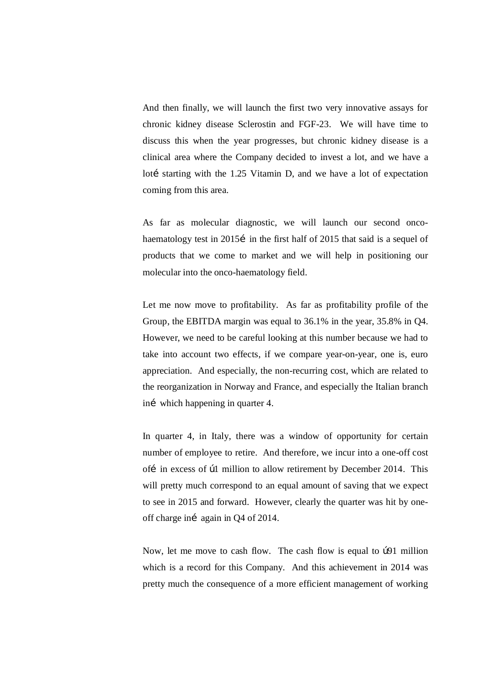And then finally, we will launch the first two very innovative assays for chronic kidney disease Sclerostin and FGF-23. We will have time to discuss this when the year progresses, but chronic kidney disease is a clinical area where the Company decided to invest a lot, and we have a lotí starting with the 1.25 Vitamin D, and we have a lot of expectation coming from this area.

As far as molecular diagnostic, we will launch our second oncohaematology test in 2015i in the first half of 2015 that said is a sequel of products that we come to market and we will help in positioning our molecular into the onco-haematology field.

Let me now move to profitability. As far as profitability profile of the Group, the EBITDA margin was equal to 36.1% in the year, 35.8% in Q4. However, we need to be careful looking at this number because we had to take into account two effects, if we compare year-on-year, one is, euro appreciation. And especially, the non-recurring cost, which are related to the reorganization in Norway and France, and especially the Italian branch iní which happening in quarter 4.

In quarter 4, in Italy, there was a window of opportunity for certain number of employee to retire. And therefore, we incur into a one-off cost ofí in excess of  $b1$  million to allow retirement by December 2014. This will pretty much correspond to an equal amount of saving that we expect to see in 2015 and forward. However, clearly the quarter was hit by oneoff charge ini again in Q4 of 2014.

Now, let me move to cash flow. The cash flow is equal to  $\beta$ 91 million which is a record for this Company. And this achievement in 2014 was pretty much the consequence of a more efficient management of working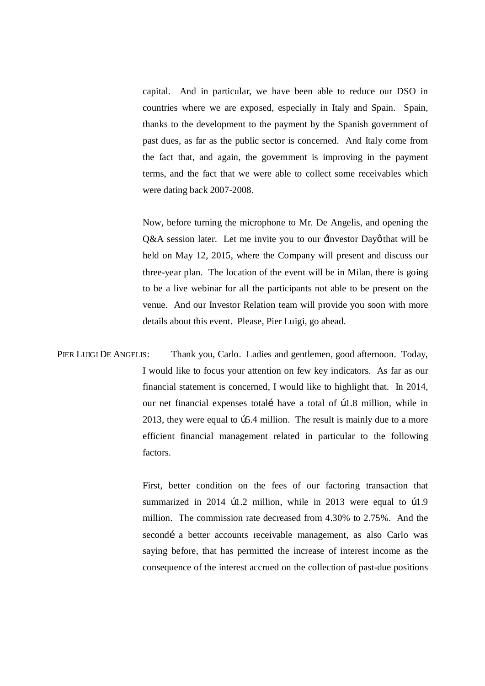capital. And in particular, we have been able to reduce our DSO in countries where we are exposed, especially in Italy and Spain. Spain, thanks to the development to the payment by the Spanish government of past dues, as far as the public sector is concerned. And Italy come from the fact that, and again, the government is improving in the payment terms, and the fact that we were able to collect some receivables which were dating back 2007-2008.

Now, before turning the microphone to Mr. De Angelis, and opening the Q&A session later. Let me invite you to our  $\exists$ nvestor Dayø that will be held on May 12, 2015, where the Company will present and discuss our three-year plan. The location of the event will be in Milan, there is going to be a live webinar for all the participants not able to be present on the venue. And our Investor Relation team will provide you soon with more details about this event. Please, Pier Luigi, go ahead.

PIER LUIGI DE ANGELIS: Thank you, Carlo. Ladies and gentlemen, good afternoon. Today, I would like to focus your attention on few key indicators. As far as our financial statement is concerned, I would like to highlight that. In 2014, our net financial expenses totalí have a total of  $\beta$ 1.8 million, while in 2013, they were equal to  $\beta$ 5.4 million. The result is mainly due to a more efficient financial management related in particular to the following factors.

> First, better condition on the fees of our factoring transaction that summarized in 2014  $\mu$ 1.2 million, while in 2013 were equal to  $\mu$ 1.9 million. The commission rate decreased from 4.30% to 2.75%. And the secondí a better accounts receivable management, as also Carlo was saying before, that has permitted the increase of interest income as the consequence of the interest accrued on the collection of past-due positions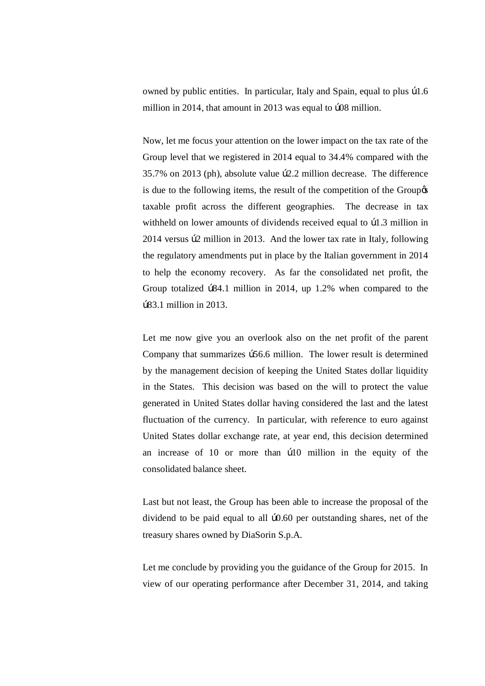owned by public entities. In particular, Italy and Spain, equal to plus  $\beta$ 1.6 million in 2014, that amount in 2013 was equal to  $b08$  million.

Now, let me focus your attention on the lower impact on the tax rate of the Group level that we registered in 2014 equal to 34.4% compared with the 35.7% on 2013 (ph), absolute value  $b2.2$  million decrease. The difference is due to the following items, the result of the competition of the Group  $\alpha$ taxable profit across the different geographies. The decrease in tax withheld on lower amounts of dividends received equal to  $\beta$ 1.3 million in 2014 versus  $b2$  million in 2013. And the lower tax rate in Italy, following the regulatory amendments put in place by the Italian government in 2014 to help the economy recovery. As far the consolidated net profit, the Group totalized  $\beta$ 84.1 million in 2014, up 1.2% when compared to the €83.1 million in 2013.

Let me now give you an overlook also on the net profit of the parent Company that summarizes  $b56.6$  million. The lower result is determined by the management decision of keeping the United States dollar liquidity in the States. This decision was based on the will to protect the value generated in United States dollar having considered the last and the latest fluctuation of the currency. In particular, with reference to euro against United States dollar exchange rate, at year end, this decision determined an increase of  $10$  or more than  $b10$  million in the equity of the consolidated balance sheet.

Last but not least, the Group has been able to increase the proposal of the dividend to be paid equal to all  $b0.60$  per outstanding shares, net of the treasury shares owned by DiaSorin S.p.A.

Let me conclude by providing you the guidance of the Group for 2015. In view of our operating performance after December 31, 2014, and taking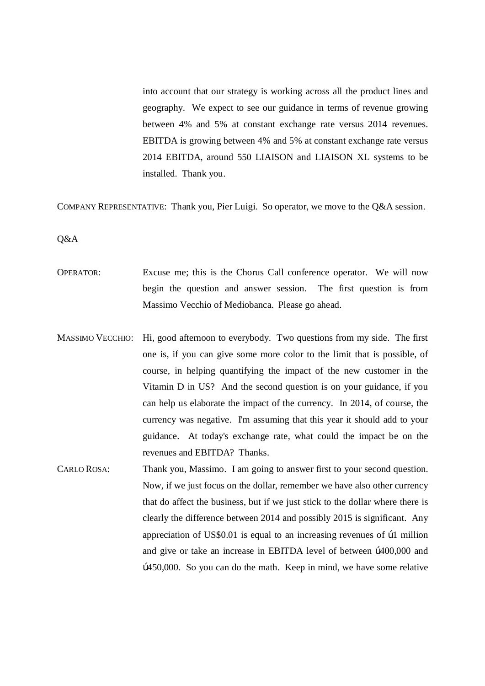into account that our strategy is working across all the product lines and geography. We expect to see our guidance in terms of revenue growing between 4% and 5% at constant exchange rate versus 2014 revenues. EBITDA is growing between 4% and 5% at constant exchange rate versus 2014 EBITDA, around 550 LIAISON and LIAISON XL systems to be installed. Thank you.

COMPANY REPRESENTATIVE: Thank you, Pier Luigi. So operator, we move to the Q&A session.

Q&A

- OPERATOR: Excuse me; this is the Chorus Call conference operator. We will now begin the question and answer session. The first question is from Massimo Vecchio of Mediobanca. Please go ahead.
- MASSIMO VECCHIO: Hi, good afternoon to everybody. Two questions from my side. The first one is, if you can give some more color to the limit that is possible, of course, in helping quantifying the impact of the new customer in the Vitamin D in US? And the second question is on your guidance, if you can help us elaborate the impact of the currency. In 2014, of course, the currency was negative. I'm assuming that this year it should add to your guidance. At today's exchange rate, what could the impact be on the revenues and EBITDA? Thanks.
- CARLO ROSA: Thank you, Massimo. I am going to answer first to your second question. Now, if we just focus on the dollar, remember we have also other currency that do affect the business, but if we just stick to the dollar where there is clearly the difference between 2014 and possibly 2015 is significant. Any appreciation of US\$0.01 is equal to an increasing revenues of  $\beta$ 1 million and give or take an increase in EBITDA level of between  $b400,000$  and b450,000. So you can do the math. Keep in mind, we have some relative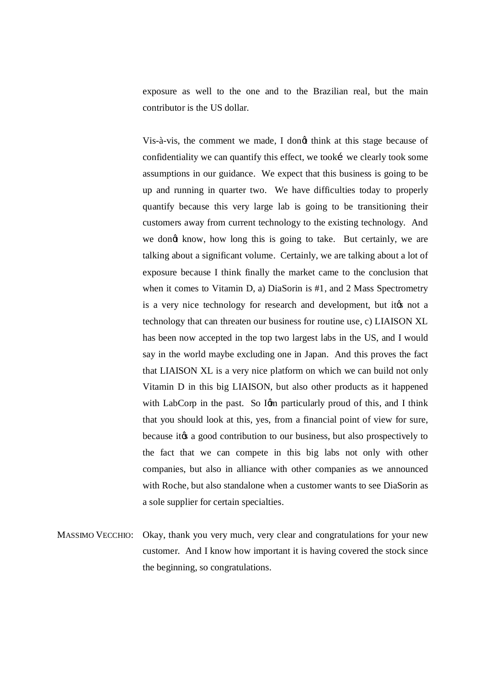exposure as well to the one and to the Brazilian real, but the main contributor is the US dollar.

Vis-à-vis, the comment we made, I dongt think at this stage because of confidentiality we can quantify this effect, we took i we clearly took some assumptions in our guidance. We expect that this business is going to be up and running in quarter two. We have difficulties today to properly quantify because this very large lab is going to be transitioning their customers away from current technology to the existing technology. And we dongt know, how long this is going to take. But certainly, we are talking about a significant volume. Certainly, we are talking about a lot of exposure because I think finally the market came to the conclusion that when it comes to Vitamin D, a) DiaSorin is #1, and 2 Mass Spectrometry is a very nice technology for research and development, but its not a technology that can threaten our business for routine use, c) LIAISON XL has been now accepted in the top two largest labs in the US, and I would say in the world maybe excluding one in Japan. And this proves the fact that LIAISON XL is a very nice platform on which we can build not only Vitamin D in this big LIAISON, but also other products as it happened with LabCorp in the past. So Ign particularly proud of this, and I think that you should look at this, yes, from a financial point of view for sure, because it to a good contribution to our business, but also prospectively to the fact that we can compete in this big labs not only with other companies, but also in alliance with other companies as we announced with Roche, but also standalone when a customer wants to see DiaSorin as a sole supplier for certain specialties.

MASSIMO VECCHIO: Okay, thank you very much, very clear and congratulations for your new customer. And I know how important it is having covered the stock since the beginning, so congratulations.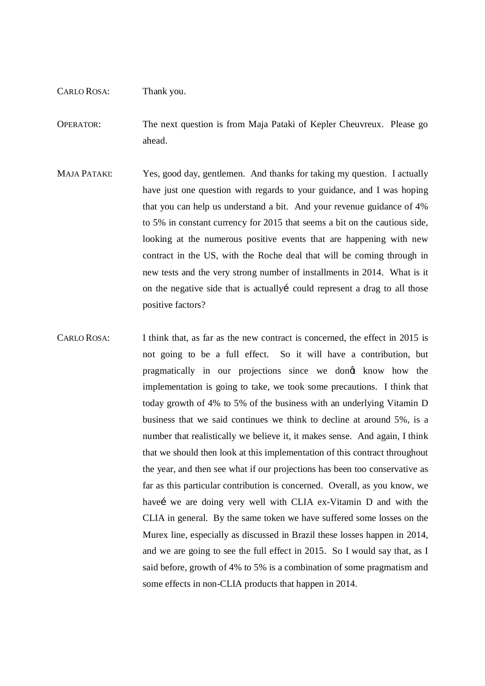## CARLO ROSA: Thank you.

OPERATOR: The next question is from Maja Pataki of Kepler Cheuvreux. Please go ahead.

- MAJA PATAKI: Yes, good day, gentlemen. And thanks for taking my question. I actually have just one question with regards to your guidance, and I was hoping that you can help us understand a bit. And your revenue guidance of 4% to 5% in constant currency for 2015 that seems a bit on the cautious side, looking at the numerous positive events that are happening with new contract in the US, with the Roche deal that will be coming through in new tests and the very strong number of installments in 2014. What is it on the negative side that is actually could represent a drag to all those positive factors?
- CARLO ROSA: I think that, as far as the new contract is concerned, the effect in 2015 is not going to be a full effect. So it will have a contribution, but pragmatically in our projections since we dong know how the implementation is going to take, we took some precautions. I think that today growth of 4% to 5% of the business with an underlying Vitamin D business that we said continues we think to decline at around 5%, is a number that realistically we believe it, it makes sense. And again, I think that we should then look at this implementation of this contract throughout the year, and then see what if our projections has been too conservative as far as this particular contribution is concerned. Overall, as you know, we havei we are doing very well with CLIA ex-Vitamin D and with the CLIA in general. By the same token we have suffered some losses on the Murex line, especially as discussed in Brazil these losses happen in 2014, and we are going to see the full effect in 2015. So I would say that, as I said before, growth of 4% to 5% is a combination of some pragmatism and some effects in non-CLIA products that happen in 2014.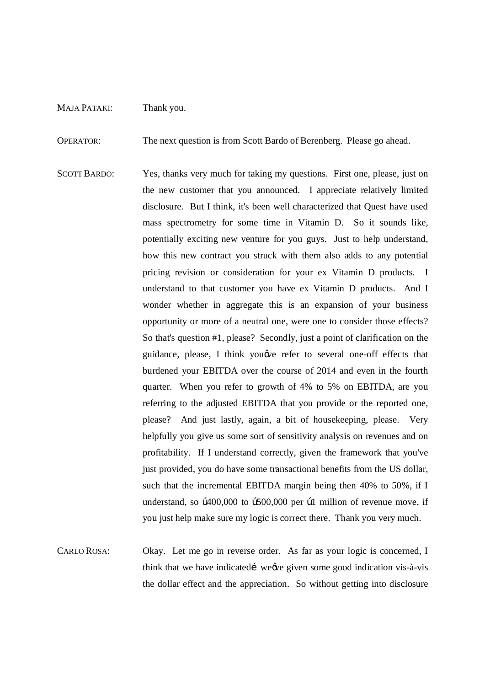## MAJA PATAKI: Thank you.

OPERATOR: The next question is from Scott Bardo of Berenberg. Please go ahead.

- SCOTT BARDO: Yes, thanks very much for taking my questions. First one, please, just on the new customer that you announced. I appreciate relatively limited disclosure. But I think, it's been well characterized that Quest have used mass spectrometry for some time in Vitamin D. So it sounds like, potentially exciting new venture for you guys. Just to help understand, how this new contract you struck with them also adds to any potential pricing revision or consideration for your ex Vitamin D products. I understand to that customer you have ex Vitamin D products. And I wonder whether in aggregate this is an expansion of your business opportunity or more of a neutral one, were one to consider those effects? So that's question #1, please? Secondly, just a point of clarification on the guidance, please, I think you we refer to several one-off effects that burdened your EBITDA over the course of 2014 and even in the fourth quarter. When you refer to growth of 4% to 5% on EBITDA, are you referring to the adjusted EBITDA that you provide or the reported one, please? And just lastly, again, a bit of housekeeping, please. Very helpfully you give us some sort of sensitivity analysis on revenues and on profitability. If I understand correctly, given the framework that you've just provided, you do have some transactional benefits from the US dollar, such that the incremental EBITDA margin being then 40% to 50%, if I understand, so  $\beta$ 400,000 to  $\beta$ 500,000 per  $\beta$ 1 million of revenue move, if you just help make sure my logic is correct there. Thank you very much.
- CARLO ROSA: Okay. Let me go in reverse order. As far as your logic is concerned, I think that we have indicated i we we given some good indication vis-à-vis the dollar effect and the appreciation. So without getting into disclosure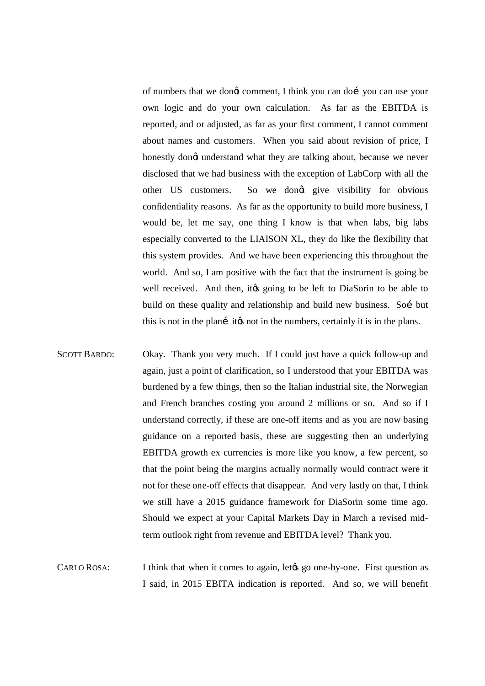of numbers that we dongt comment, I think you can doi you can use your own logic and do your own calculation. As far as the EBITDA is reported, and or adjusted, as far as your first comment, I cannot comment about names and customers. When you said about revision of price, I honestly dongt understand what they are talking about, because we never disclosed that we had business with the exception of LabCorp with all the other US customers. So we dongt give visibility for obvious confidentiality reasons. As far as the opportunity to build more business, I would be, let me say, one thing I know is that when labs, big labs especially converted to the LIAISON XL, they do like the flexibility that this system provides. And we have been experiencing this throughout the world. And so, I am positive with the fact that the instrument is going be well received. And then, it is going to be left to DiaSorin to be able to build on these quality and relationship and build new business. Soi but this is not in the plani its not in the numbers, certainly it is in the plans.

- SCOTT BARDO: Okay. Thank you very much. If I could just have a quick follow-up and again, just a point of clarification, so I understood that your EBITDA was burdened by a few things, then so the Italian industrial site, the Norwegian and French branches costing you around 2 millions or so. And so if I understand correctly, if these are one-off items and as you are now basing guidance on a reported basis, these are suggesting then an underlying EBITDA growth ex currencies is more like you know, a few percent, so that the point being the margins actually normally would contract were it not for these one-off effects that disappear. And very lastly on that, I think we still have a 2015 guidance framework for DiaSorin some time ago. Should we expect at your Capital Markets Day in March a revised midterm outlook right from revenue and EBITDA level? Thank you.
- CARLO ROSA: I think that when it comes to again, let the go one-by-one. First question as I said, in 2015 EBITA indication is reported. And so, we will benefit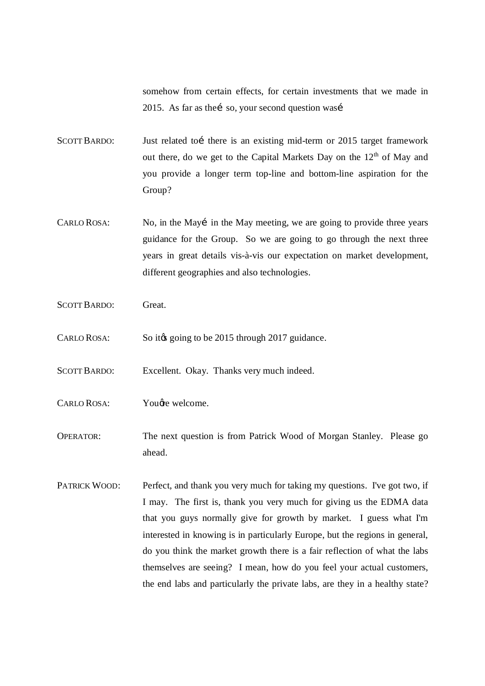somehow from certain effects, for certain investments that we made in 2015. As far as the i so, your second question was i

SCOTT BARDO: Just related to i there is an existing mid-term or 2015 target framework out there, do we get to the Capital Markets Day on the 12<sup>th</sup> of May and you provide a longer term top-line and bottom-line aspiration for the Group?

- CARLO ROSA: No, in the Mayi in the May meeting, we are going to provide three years guidance for the Group. So we are going to go through the next three years in great details vis-à-vis our expectation on market development, different geographies and also technologies.
- SCOTT BARDO: Great.
- CARLO ROSA: So it is going to be 2015 through 2017 guidance.
- SCOTT BARDO: Excellent. Okay. Thanks very much indeed.
- CARLO ROSA: You are welcome.
- OPERATOR: The next question is from Patrick Wood of Morgan Stanley. Please go ahead.
- PATRICK WOOD: Perfect, and thank you very much for taking my questions. I've got two, if I may. The first is, thank you very much for giving us the EDMA data that you guys normally give for growth by market. I guess what I'm interested in knowing is in particularly Europe, but the regions in general, do you think the market growth there is a fair reflection of what the labs themselves are seeing? I mean, how do you feel your actual customers, the end labs and particularly the private labs, are they in a healthy state?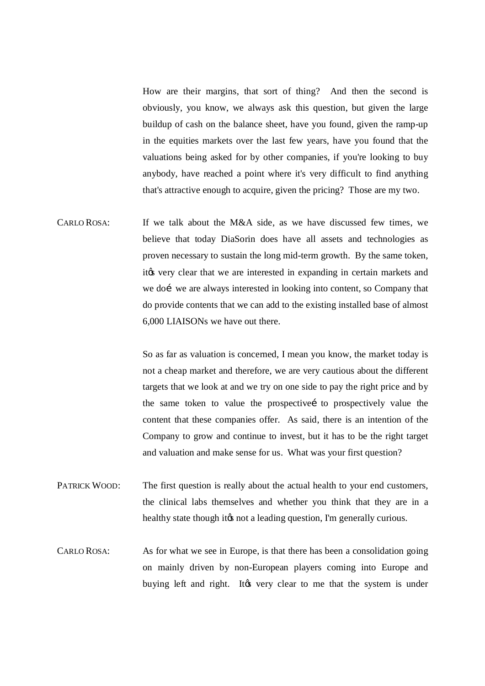How are their margins, that sort of thing? And then the second is obviously, you know, we always ask this question, but given the large buildup of cash on the balance sheet, have you found, given the ramp-up in the equities markets over the last few years, have you found that the valuations being asked for by other companies, if you're looking to buy anybody, have reached a point where it's very difficult to find anything that's attractive enough to acquire, given the pricing? Those are my two.

CARLO ROSA: If we talk about the M&A side, as we have discussed few times, we believe that today DiaSorin does have all assets and technologies as proven necessary to sustain the long mid-term growth. By the same token, it to very clear that we are interested in expanding in certain markets and we doi we are always interested in looking into content, so Company that do provide contents that we can add to the existing installed base of almost 6,000 LIAISONs we have out there.

> So as far as valuation is concerned, I mean you know, the market today is not a cheap market and therefore, we are very cautious about the different targets that we look at and we try on one side to pay the right price and by the same token to value the prospectivei to prospectively value the content that these companies offer. As said, there is an intention of the Company to grow and continue to invest, but it has to be the right target and valuation and make sense for us. What was your first question?

- PATRICK WOOD: The first question is really about the actual health to your end customers, the clinical labs themselves and whether you think that they are in a healthy state though it to not a leading question, I'm generally curious.
- CARLO ROSA: As for what we see in Europe, is that there has been a consolidation going on mainly driven by non-European players coming into Europe and buying left and right. It to very clear to me that the system is under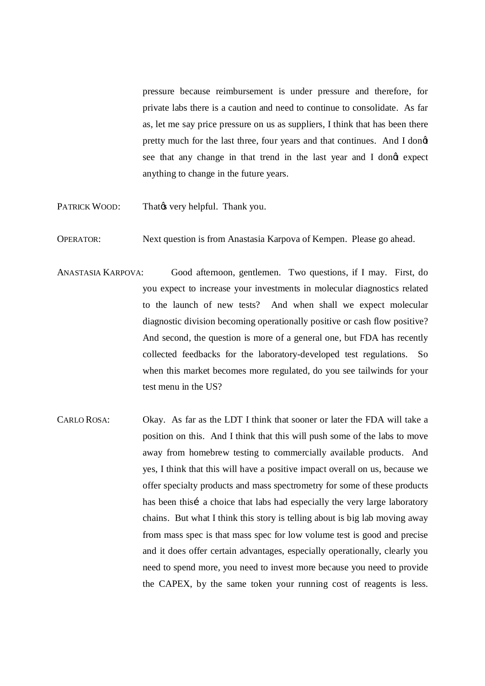pressure because reimbursement is under pressure and therefore, for private labs there is a caution and need to continue to consolidate. As far as, let me say price pressure on us as suppliers, I think that has been there pretty much for the last three, four years and that continues. And I dong see that any change in that trend in the last year and I dongt expect anything to change in the future years.

- PATRICK WOOD: That wery helpful. Thank you.
- OPERATOR: Next question is from Anastasia Karpova of Kempen. Please go ahead.
- ANASTASIA KARPOVA: Good afternoon, gentlemen. Two questions, if I may. First, do you expect to increase your investments in molecular diagnostics related to the launch of new tests? And when shall we expect molecular diagnostic division becoming operationally positive or cash flow positive? And second, the question is more of a general one, but FDA has recently collected feedbacks for the laboratory-developed test regulations. So when this market becomes more regulated, do you see tailwinds for your test menu in the US?
- CARLO ROSA: Okay. As far as the LDT I think that sooner or later the FDA will take a position on this. And I think that this will push some of the labs to move away from homebrew testing to commercially available products. And yes, I think that this will have a positive impact overall on us, because we offer specialty products and mass spectrometry for some of these products has been this i a choice that labs had especially the very large laboratory chains. But what I think this story is telling about is big lab moving away from mass spec is that mass spec for low volume test is good and precise and it does offer certain advantages, especially operationally, clearly you need to spend more, you need to invest more because you need to provide the CAPEX, by the same token your running cost of reagents is less.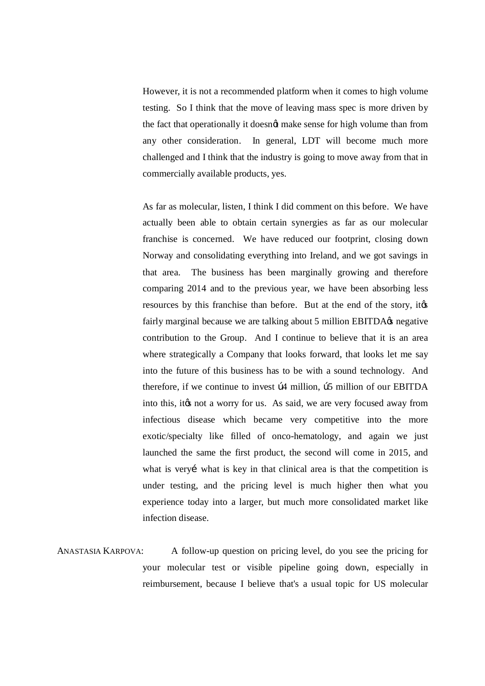However, it is not a recommended platform when it comes to high volume testing. So I think that the move of leaving mass spec is more driven by the fact that operationally it doesngt make sense for high volume than from any other consideration. In general, LDT will become much more challenged and I think that the industry is going to move away from that in commercially available products, yes.

As far as molecular, listen, I think I did comment on this before. We have actually been able to obtain certain synergies as far as our molecular franchise is concerned. We have reduced our footprint, closing down Norway and consolidating everything into Ireland, and we got savings in that area. The business has been marginally growing and therefore comparing 2014 and to the previous year, we have been absorbing less resources by this franchise than before. But at the end of the story, it  $\alpha$ fairly marginal because we are talking about 5 million EBITDA $\alpha$  negative contribution to the Group. And I continue to believe that it is an area where strategically a Company that looks forward, that looks let me say into the future of this business has to be with a sound technology. And therefore, if we continue to invest  $\beta$ 4 million,  $\beta$ 5 million of our EBITDA into this, it to not a worry for us. As said, we are very focused away from infectious disease which became very competitive into the more exotic/specialty like filled of onco-hematology, and again we just launched the same the first product, the second will come in 2015, and what is very i what is key in that clinical area is that the competition is under testing, and the pricing level is much higher then what you experience today into a larger, but much more consolidated market like infection disease.

ANASTASIA KARPOVA: A follow-up question on pricing level, do you see the pricing for your molecular test or visible pipeline going down, especially in reimbursement, because I believe that's a usual topic for US molecular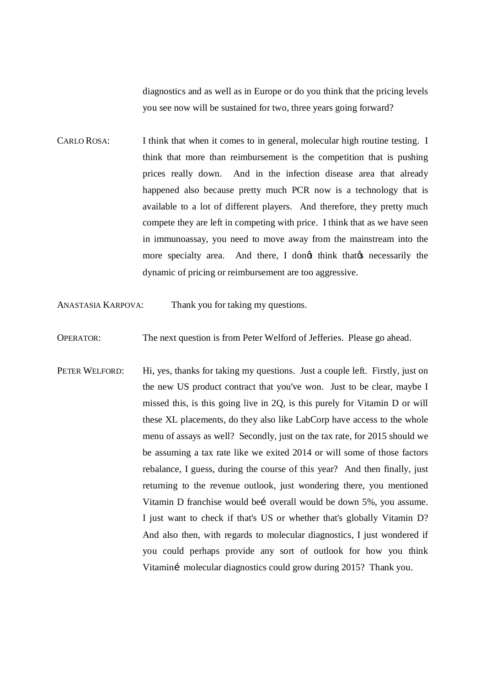diagnostics and as well as in Europe or do you think that the pricing levels you see now will be sustained for two, three years going forward?

CARLO ROSA: I think that when it comes to in general, molecular high routine testing. I think that more than reimbursement is the competition that is pushing prices really down. And in the infection disease area that already happened also because pretty much PCR now is a technology that is available to a lot of different players. And therefore, they pretty much compete they are left in competing with price. I think that as we have seen in immunoassay, you need to move away from the mainstream into the more specialty area. And there, I dongt think that  $\alpha$  necessarily the dynamic of pricing or reimbursement are too aggressive.

ANASTASIA KARPOVA: Thank you for taking my questions.

OPERATOR: The next question is from Peter Welford of Jefferies. Please go ahead.

PETER WELFORD: Hi, yes, thanks for taking my questions. Just a couple left. Firstly, just on the new US product contract that you've won. Just to be clear, maybe I missed this, is this going live in 2Q, is this purely for Vitamin D or will these XL placements, do they also like LabCorp have access to the whole menu of assays as well? Secondly, just on the tax rate, for 2015 should we be assuming a tax rate like we exited 2014 or will some of those factors rebalance, I guess, during the course of this year? And then finally, just returning to the revenue outlook, just wondering there, you mentioned Vitamin D franchise would bei overall would be down 5%, you assume. I just want to check if that's US or whether that's globally Vitamin D? And also then, with regards to molecular diagnostics, I just wondered if you could perhaps provide any sort of outlook for how you think Vitaminí molecular diagnostics could grow during 2015? Thank you.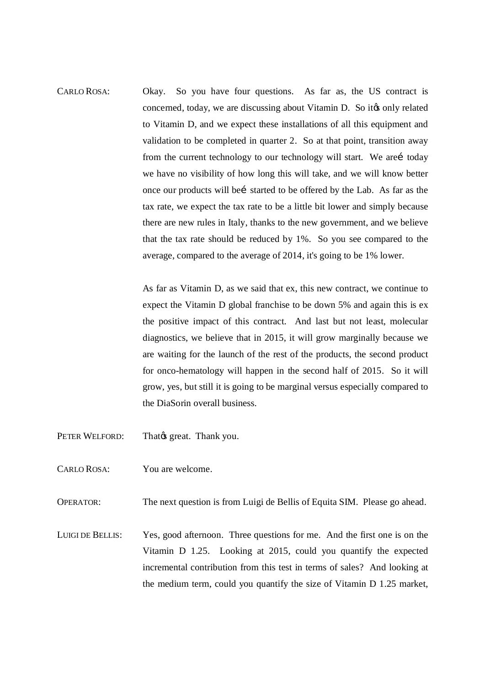CARLO ROSA: Okay. So you have four questions. As far as, the US contract is concerned, today, we are discussing about Vitamin D. So it to only related to Vitamin D, and we expect these installations of all this equipment and validation to be completed in quarter 2. So at that point, transition away from the current technology to our technology will start. We arei today we have no visibility of how long this will take, and we will know better once our products will bei started to be offered by the Lab. As far as the tax rate, we expect the tax rate to be a little bit lower and simply because there are new rules in Italy, thanks to the new government, and we believe that the tax rate should be reduced by 1%. So you see compared to the average, compared to the average of 2014, it's going to be 1% lower.

> As far as Vitamin D, as we said that ex, this new contract, we continue to expect the Vitamin D global franchise to be down 5% and again this is ex the positive impact of this contract. And last but not least, molecular diagnostics, we believe that in 2015, it will grow marginally because we are waiting for the launch of the rest of the products, the second product for onco-hematology will happen in the second half of 2015. So it will grow, yes, but still it is going to be marginal versus especially compared to the DiaSorin overall business.

- PETER WELFORD: That *great*. Thank you.
- CARLO ROSA: You are welcome.

OPERATOR: The next question is from Luigi de Bellis of Equita SIM. Please go ahead.

LUIGI DE BELLIS: Yes, good afternoon. Three questions for me. And the first one is on the Vitamin D 1.25. Looking at 2015, could you quantify the expected incremental contribution from this test in terms of sales? And looking at the medium term, could you quantify the size of Vitamin D 1.25 market,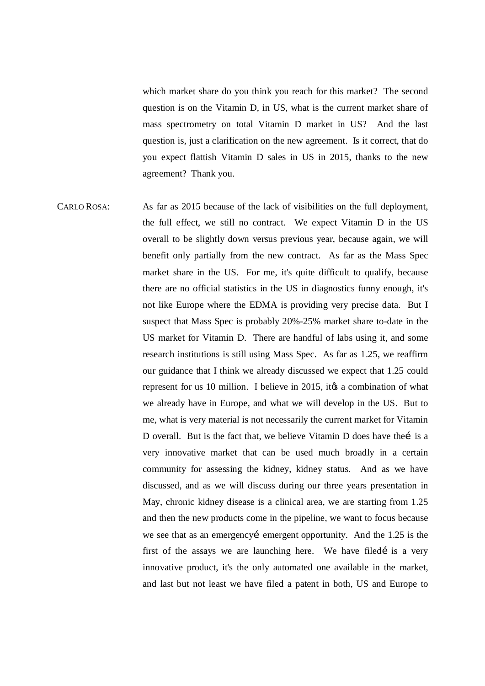which market share do you think you reach for this market? The second question is on the Vitamin D, in US, what is the current market share of mass spectrometry on total Vitamin D market in US? And the last question is, just a clarification on the new agreement. Is it correct, that do you expect flattish Vitamin D sales in US in 2015, thanks to the new agreement? Thank you.

CARLO ROSA: As far as 2015 because of the lack of visibilities on the full deployment, the full effect, we still no contract. We expect Vitamin D in the US overall to be slightly down versus previous year, because again, we will benefit only partially from the new contract. As far as the Mass Spec market share in the US. For me, it's quite difficult to qualify, because there are no official statistics in the US in diagnostics funny enough, it's not like Europe where the EDMA is providing very precise data. But I suspect that Mass Spec is probably 20%-25% market share to-date in the US market for Vitamin D. There are handful of labs using it, and some research institutions is still using Mass Spec. As far as 1.25, we reaffirm our guidance that I think we already discussed we expect that 1.25 could represent for us 10 million. I believe in 2015, its a combination of what we already have in Europe, and what we will develop in the US. But to me, what is very material is not necessarily the current market for Vitamin D overall. But is the fact that, we believe Vitamin D does have the i is a very innovative market that can be used much broadly in a certain community for assessing the kidney, kidney status. And as we have discussed, and as we will discuss during our three years presentation in May, chronic kidney disease is a clinical area, we are starting from 1.25 and then the new products come in the pipeline, we want to focus because we see that as an emergency emergent opportunity. And the 1.25 is the first of the assays we are launching here. We have filed is a very innovative product, it's the only automated one available in the market, and last but not least we have filed a patent in both, US and Europe to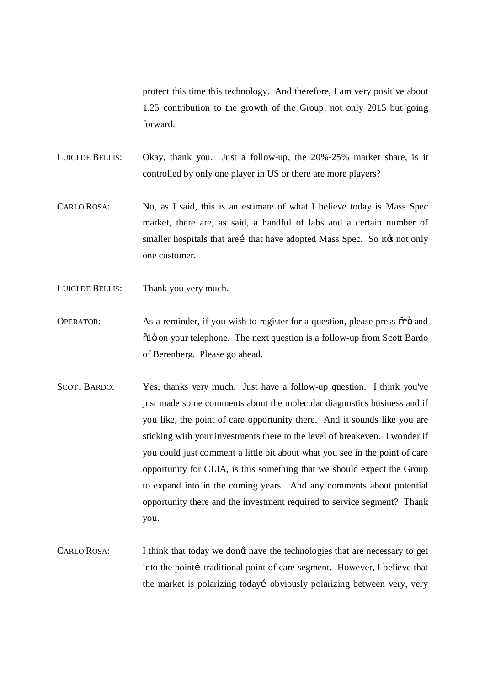protect this time this technology. And therefore, I am very positive about 1.25 contribution to the growth of the Group, not only 2015 but going forward.

- LUIGI DE BELLIS: Okay, thank you. Just a follow-up, the 20%-25% market share, is it controlled by only one player in US or there are more players?
- CARLO ROSA: No, as I said, this is an estimate of what I believe today is Mass Spec market, there are, as said, a handful of labs and a certain number of smaller hospitals that arei that have adopted Mass Spec. So it to not only one customer.
- LUIGI DE BELLIS: Thank you very much.
- OPERATOR: As a reminder, if you wish to register for a question, please press  $\tilde{\sigma}^* \ddot{\sigma}$  and  $\ddot{\text{o}}$  1  $\ddot{\text{o}}$  on your telephone. The next question is a follow-up from Scott Bardo of Berenberg. Please go ahead.
- SCOTT BARDO: Yes, thanks very much. Just have a follow-up question. I think you've just made some comments about the molecular diagnostics business and if you like, the point of care opportunity there. And it sounds like you are sticking with your investments there to the level of breakeven. I wonder if you could just comment a little bit about what you see in the point of care opportunity for CLIA, is this something that we should expect the Group to expand into in the coming years. And any comments about potential opportunity there and the investment required to service segment? Thank you.
- CARLO ROSA: I think that today we dongt have the technologies that are necessary to get into the pointi traditional point of care segment. However, I believe that the market is polarizing todayí obviously polarizing between very, very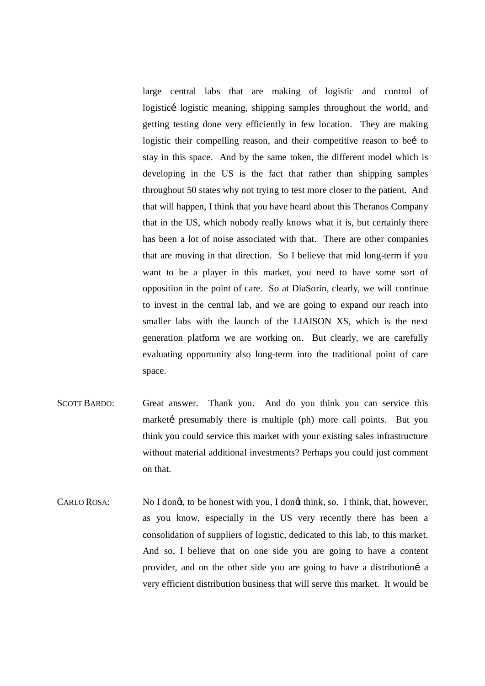large central labs that are making of logistic and control of logisticí logistic meaning, shipping samples throughout the world, and getting testing done very efficiently in few location. They are making logistic their compelling reason, and their competitive reason to bei to stay in this space. And by the same token, the different model which is developing in the US is the fact that rather than shipping samples throughout 50 states why not trying to test more closer to the patient. And that will happen, I think that you have heard about this Theranos Company that in the US, which nobody really knows what it is, but certainly there has been a lot of noise associated with that. There are other companies that are moving in that direction. So I believe that mid long-term if you want to be a player in this market, you need to have some sort of opposition in the point of care. So at DiaSorin, clearly, we will continue to invest in the central lab, and we are going to expand our reach into smaller labs with the launch of the LIAISON XS, which is the next generation platform we are working on. But clearly, we are carefully evaluating opportunity also long-term into the traditional point of care space.

- SCOTT BARDO: Great answer. Thank you. And do you think you can service this marketi presumably there is multiple (ph) more call points. But you think you could service this market with your existing sales infrastructure without material additional investments? Perhaps you could just comment on that.
- CARLO ROSA: No I dongt, to be honest with you, I dongt think, so. I think, that, however, as you know, especially in the US very recently there has been a consolidation of suppliers of logistic, dedicated to this lab, to this market. And so, I believe that on one side you are going to have a content provider, and on the other side you are going to have a distributioni a very efficient distribution business that will serve this market. It would be